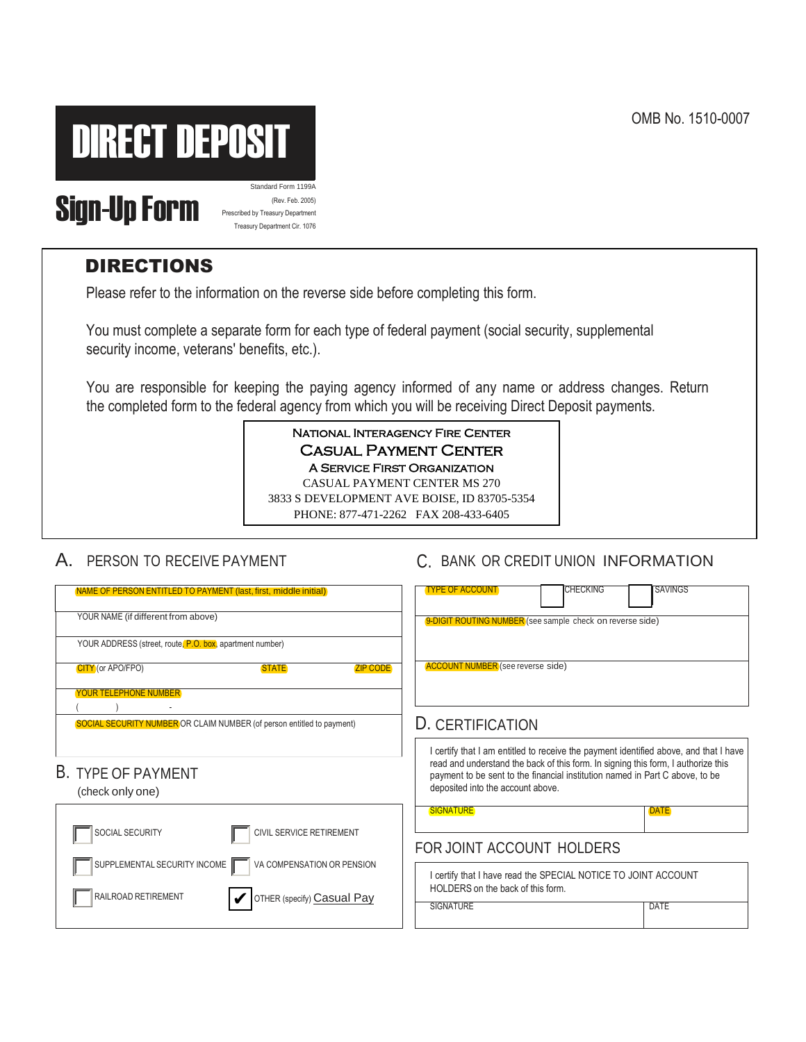OMB No. 1510-0007



# Standard Form 11994<br> **Sign-Up Form 11994**<br>
Prescribed by Treasury Department

(Rev. Feb. 2005) Prescribed by Treasury Department Treasury Department Cir. 1076

## DIRECTIONS

Please refer to the information on the reverse side before completing this form.

You must complete a separate form for each type of federal payment (social security, supplemental security income, veterans' benefits, etc.).

You are responsible for keeping the paying agency informed of any name or address changes. Return the completed form to the federal agency from which you will be receiving Direct Deposit payments.

> National Interagency Fire Center Casual Payment Center A Service First Organization CASUAL PAYMENT CENTER MS 270 3833 S DEVELOPMENT AVE BOISE, ID 83705-5354 PHONE: 877-471-2262 FAX 208-433-6405

### A. PERSON TO RECEIVE PAYMENT C. BANK OR CREDIT UNION INFORMATION

| NAME OF PERSON ENTITLED TO PAYMENT (last, first, middle initial)<br>YOUR NAME (if different from above)<br>YOUR ADDRESS (street, route, P.O. box, apartment number) | <b>CHECKING</b><br><b>SAVINGS</b><br><b>TYPE OF ACCOUNT</b><br>9-DIGIT ROUTING NUMBER (see sample check on reverse side)                                                                               |  |  |  |  |
|---------------------------------------------------------------------------------------------------------------------------------------------------------------------|--------------------------------------------------------------------------------------------------------------------------------------------------------------------------------------------------------|--|--|--|--|
| CITY (or APO/FPO)<br><b>STATE</b><br><b>ZIP CODE</b><br><b>YOUR TELEPHONE NUMBER</b>                                                                                | <b>ACCOUNT NUMBER</b> (see reverse side)                                                                                                                                                               |  |  |  |  |
| SOCIAL SECURITY NUMBER OR CLAIM NUMBER (of person entitled to payment)                                                                                              | D. CERTIFICATION<br>I certify that I am entitled to receive the payment identified above, and that I have                                                                                              |  |  |  |  |
| <b>B. TYPE OF PAYMENT</b><br>(check only one)                                                                                                                       | read and understand the back of this form. In signing this form, I authorize this<br>payment to be sent to the financial institution named in Part C above, to be<br>deposited into the account above. |  |  |  |  |
| SOCIAL SECURITY<br><b>CIVIL SERVICE RETIREMENT</b><br>VA COMPENSATION OR PENSION                                                                                    | <b>SIGNATURE</b><br><b>DATE</b><br>FOR JOINT ACCOUNT HOLDERS                                                                                                                                           |  |  |  |  |
| SUPPLEMENTAL SECURITY INCOME<br>RAILROAD RETIREMENT<br>OTHER (specify) <b>Casual Pay</b>                                                                            | I certify that I have read the SPECIAL NOTICE TO JOINT ACCOUNT<br>HOLDERS on the back of this form.<br>SIGNATURE<br>DATE                                                                               |  |  |  |  |